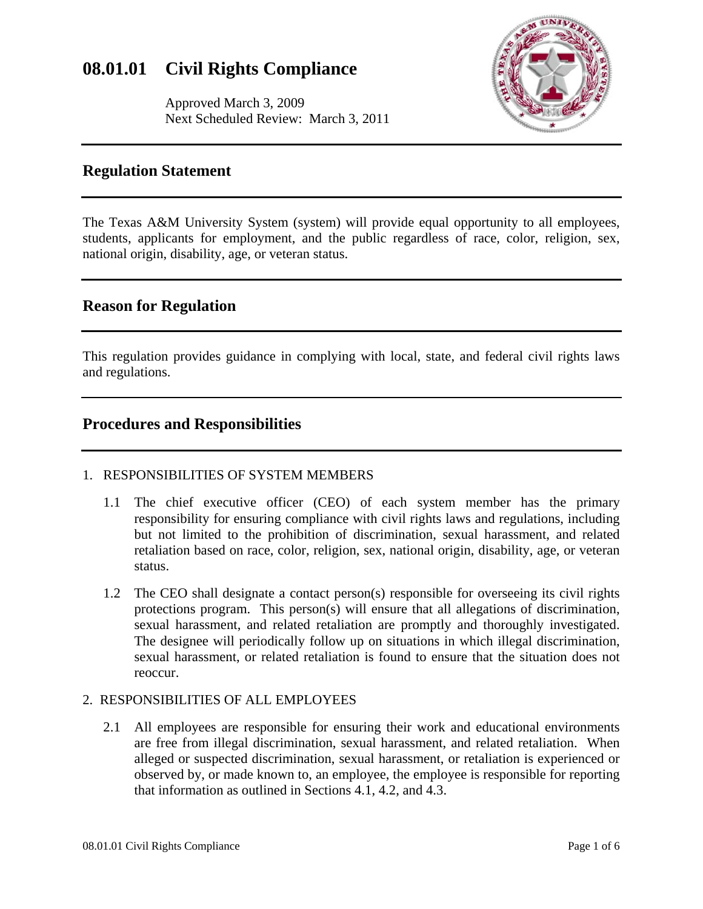# **08.01.01 Civil Rights Compliance**

Approved March 3, 2009 Next Scheduled Review: March 3, 2011



### **Regulation Statement**

The Texas A&M University System (system) will provide equal opportunity to all employees, students, applicants for employment, and the public regardless of race, color, religion, sex, national origin, disability, age, or veteran status.

# **Reason for Regulation**

This regulation provides guidance in complying with local, state, and federal civil rights laws and regulations.

# **Procedures and Responsibilities**

#### 1. RESPONSIBILITIES OF SYSTEM MEMBERS

- 1.1 The chief executive officer (CEO) of each system member has the primary responsibility for ensuring compliance with civil rights laws and regulations, including but not limited to the prohibition of discrimination, sexual harassment, and related retaliation based on race, color, religion, sex, national origin, disability, age, or veteran status.
- 1.2 The CEO shall designate a contact person(s) responsible for overseeing its civil rights protections program. This person(s) will ensure that all allegations of discrimination, sexual harassment, and related retaliation are promptly and thoroughly investigated. The designee will periodically follow up on situations in which illegal discrimination, sexual harassment, or related retaliation is found to ensure that the situation does not reoccur.

#### 2. RESPONSIBILITIES OF ALL EMPLOYEES

2.1 All employees are responsible for ensuring their work and educational environments are free from illegal discrimination, sexual harassment, and related retaliation. When alleged or suspected discrimination, sexual harassment, or retaliation is experienced or observed by, or made known to, an employee, the employee is responsible for reporting that information as outlined in Sections 4.1, 4.2, and 4.3.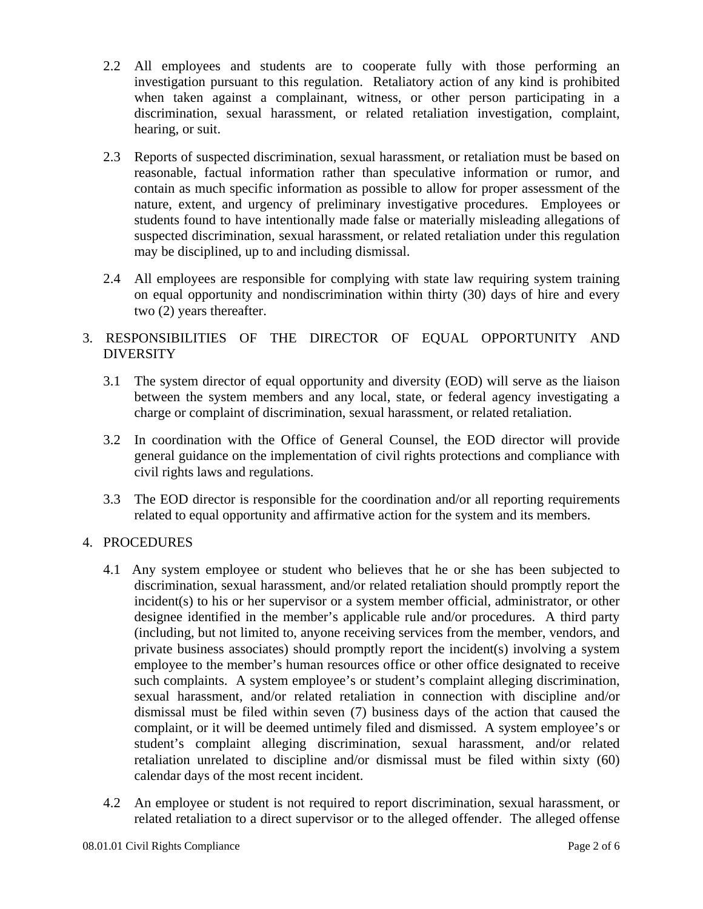- 2.2 All employees and students are to cooperate fully with those performing an investigation pursuant to this regulation. Retaliatory action of any kind is prohibited when taken against a complainant, witness, or other person participating in a discrimination, sexual harassment, or related retaliation investigation, complaint, hearing, or suit.
- 2.3 Reports of suspected discrimination, sexual harassment, or retaliation must be based on reasonable, factual information rather than speculative information or rumor, and contain as much specific information as possible to allow for proper assessment of the nature, extent, and urgency of preliminary investigative procedures. Employees or students found to have intentionally made false or materially misleading allegations of suspected discrimination, sexual harassment, or related retaliation under this regulation may be disciplined, up to and including dismissal.
- 2.4 All employees are responsible for complying with state law requiring system training on equal opportunity and nondiscrimination within thirty (30) days of hire and every two (2) years thereafter.

### 3. RESPONSIBILITIES OF THE DIRECTOR OF EQUAL OPPORTUNITY AND DIVERSITY

- 3.1 The system director of equal opportunity and diversity (EOD) will serve as the liaison between the system members and any local, state, or federal agency investigating a charge or complaint of discrimination, sexual harassment, or related retaliation.
- 3.2 In coordination with the Office of General Counsel, the EOD director will provide general guidance on the implementation of civil rights protections and compliance with civil rights laws and regulations.
- 3.3 The EOD director is responsible for the coordination and/or all reporting requirements related to equal opportunity and affirmative action for the system and its members.

#### 4. PROCEDURES

- 4.1 Any system employee or student who believes that he or she has been subjected to discrimination, sexual harassment, and/or related retaliation should promptly report the incident(s) to his or her supervisor or a system member official, administrator, or other designee identified in the member's applicable rule and/or procedures. A third party (including, but not limited to, anyone receiving services from the member, vendors, and private business associates) should promptly report the incident(s) involving a system employee to the member's human resources office or other office designated to receive such complaints. A system employee's or student's complaint alleging discrimination, sexual harassment, and/or related retaliation in connection with discipline and/or dismissal must be filed within seven (7) business days of the action that caused the complaint, or it will be deemed untimely filed and dismissed. A system employee's or student's complaint alleging discrimination, sexual harassment, and/or related retaliation unrelated to discipline and/or dismissal must be filed within sixty (60) calendar days of the most recent incident.
- 4.2 An employee or student is not required to report discrimination, sexual harassment, or related retaliation to a direct supervisor or to the alleged offender. The alleged offense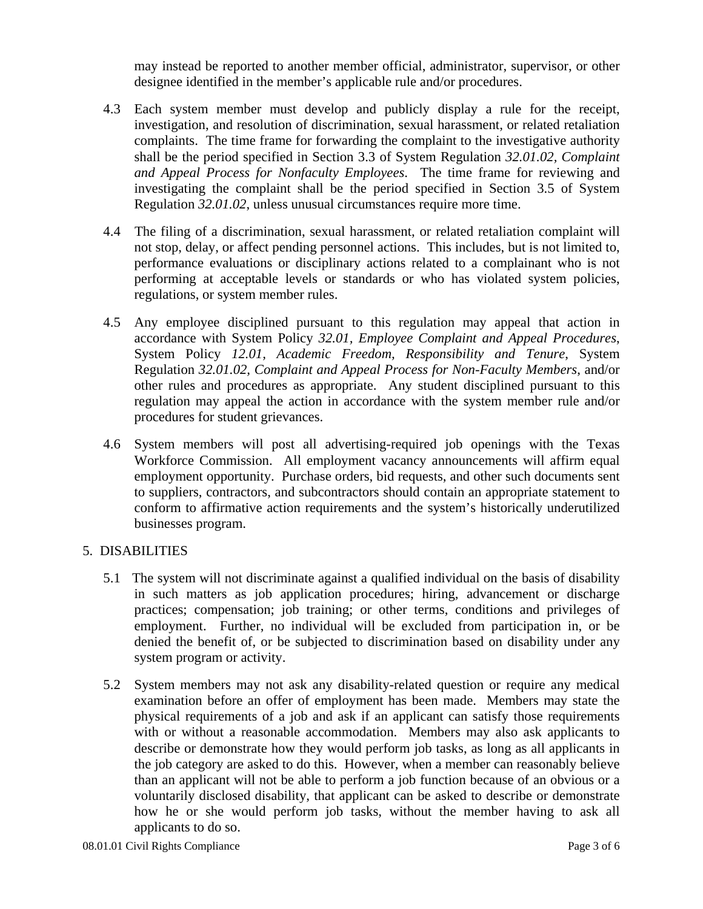may instead be reported to another member official, administrator, supervisor, or other designee identified in the member's applicable rule and/or procedures.

- 4.3 Each system member must develop and publicly display a rule for the receipt, investigation, and resolution of discrimination, sexual harassment, or related retaliation complaints. The time frame for forwarding the complaint to the investigative authority shall be the period specified in Section 3.3 of System Regulation *32.01.02, Complaint and Appeal Process for Nonfaculty Employees*. The time frame for reviewing and investigating the complaint shall be the period specified in Section 3.5 of System Regulation *32.01.02*, unless unusual circumstances require more time.
- 4.4 The filing of a discrimination, sexual harassment, or related retaliation complaint will not stop, delay, or affect pending personnel actions. This includes, but is not limited to, performance evaluations or disciplinary actions related to a complainant who is not performing at acceptable levels or standards or who has violated system policies, regulations, or system member rules.
- 4.5 Any employee disciplined pursuant to this regulation may appeal that action in accordance with System Policy *32.01, Employee Complaint and Appeal Procedures*, System Policy *12.01, Academic Freedom, Responsibility and Tenure*, System Regulation *32.01.02, Complaint and Appeal Process for Non-Faculty Members*, and/or other rules and procedures as appropriate. Any student disciplined pursuant to this regulation may appeal the action in accordance with the system member rule and/or procedures for student grievances.
- 4.6 System members will post all advertising-required job openings with the Texas Workforce Commission. All employment vacancy announcements will affirm equal employment opportunity. Purchase orders, bid requests, and other such documents sent to suppliers, contractors, and subcontractors should contain an appropriate statement to conform to affirmative action requirements and the system's historically underutilized businesses program.

#### 5. DISABILITIES

- 5.1 The system will not discriminate against a qualified individual on the basis of disability in such matters as job application procedures; hiring, advancement or discharge practices; compensation; job training; or other terms, conditions and privileges of employment. Further, no individual will be excluded from participation in, or be denied the benefit of, or be subjected to discrimination based on disability under any system program or activity.
- 5.2 System members may not ask any disability-related question or require any medical examination before an offer of employment has been made. Members may state the physical requirements of a job and ask if an applicant can satisfy those requirements with or without a reasonable accommodation. Members may also ask applicants to describe or demonstrate how they would perform job tasks, as long as all applicants in the job category are asked to do this. However, when a member can reasonably believe than an applicant will not be able to perform a job function because of an obvious or a voluntarily disclosed disability, that applicant can be asked to describe or demonstrate how he or she would perform job tasks, without the member having to ask all applicants to do so.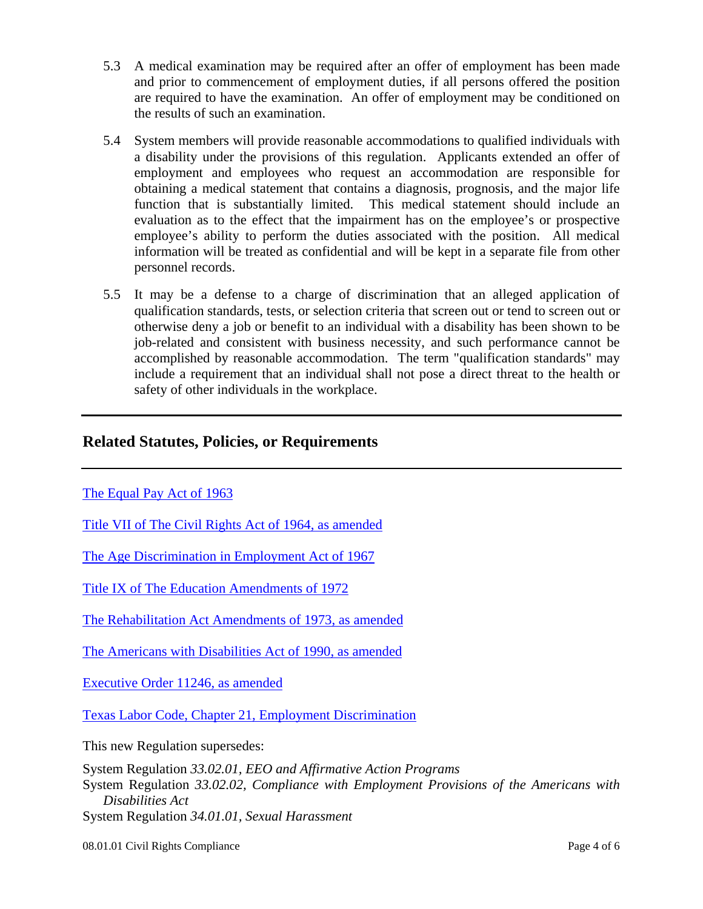- 5.3 A medical examination may be required after an offer of employment has been made and prior to commencement of employment duties, if all persons offered the position are required to have the examination. An offer of employment may be conditioned on the results of such an examination.
- 5.4 System members will provide reasonable accommodations to qualified individuals with a disability under the provisions of this regulation. Applicants extended an offer of employment and employees who request an accommodation are responsible for obtaining a medical statement that contains a diagnosis, prognosis, and the major life function that is substantially limited. This medical statement should include an evaluation as to the effect that the impairment has on the employee's or prospective employee's ability to perform the duties associated with the position. All medical information will be treated as confidential and will be kept in a separate file from other personnel records.
- 5.5 It may be a defense to a charge of discrimination that an alleged application of qualification standards, tests, or selection criteria that screen out or tend to screen out or otherwise deny a job or benefit to an individual with a disability has been shown to be job-related and consistent with business necessity, and such performance cannot be accomplished by reasonable accommodation. The term "qualification standards" may include a requirement that an individual shall not pose a direct threat to the health or safety of other individuals in the workplace.

### **Related Statutes, Policies, or Requirements**

#### [The Equal Pay Act of 1963](http://www.eeoc.gov/policy/epa.html)

[Title VII of The Civil Rights Act of 1964, as amended](http://www.eeoc.gov/policy/vii.html)

[The Age Discrimination in Employment Act of 1967](http://www.eeoc.gov/policy/adea.html)

[Title IX of The Education Amendments of 1972](http://www.dol.gov/oasam/regs/statutes/titleix.htm)

[The Rehabilitation Act Amendments of 1973, as amended](http://www.access-board.gov/enforcement/Rehab-Act-text/intro.htm#Policy)

[The Americans with Disabilities Act of 1990, as amended](http://www.ada.gov/pubs/ada.htm)

[Executive Order 11246, as amended](http://www.dol.gov/esa/ofccp/regs/statutes/eo11246.htm)

[Texas Labor Code, Chapter 21, Employment Discrimination](http://tlo2.tlc.state.tx.us/statutes/docs/LA/content/htm/la.002.00.000021.00.htm)

This new Regulation supersedes:

System Regulation *33.02.01, EEO and Affirmative Action Programs* System Regulation *33.02.02, Compliance with Employment Provisions of the Americans with Disabilities Act*  System Regulation *34.01.01, Sexual Harassment*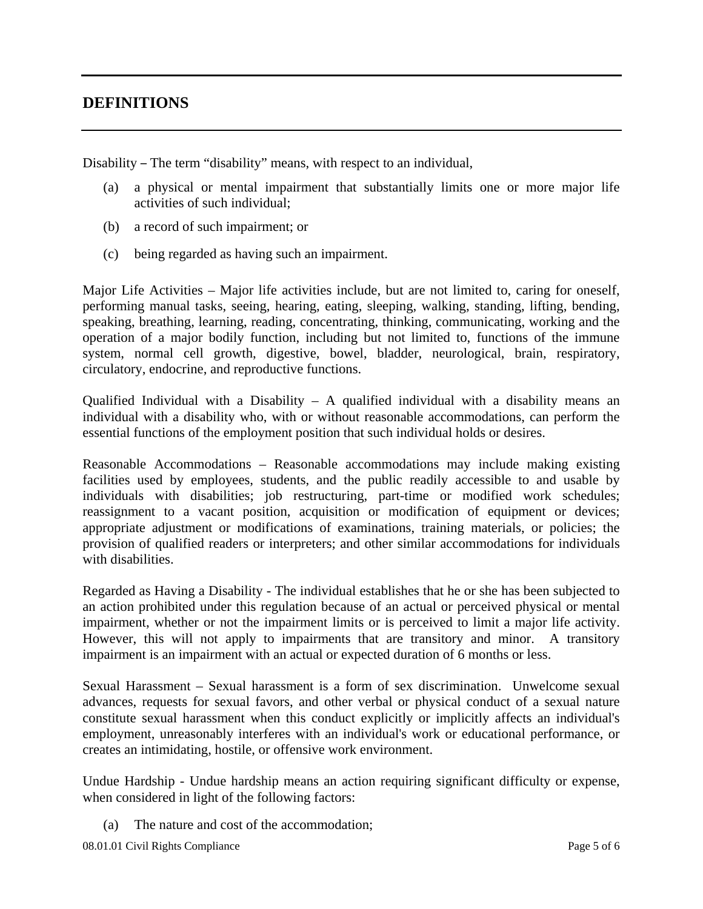# **DEFINITIONS**

Disability – The term "disability" means, with respect to an individual,

- (a) a physical or mental impairment that substantially limits one or more major life activities of such individual;
- (b) a record of such impairment; or
- (c) being regarded as having such an impairment.

Major Life Activities – Major life activities include, but are not limited to, caring for oneself, performing manual tasks, seeing, hearing, eating, sleeping, walking, standing, lifting, bending, speaking, breathing, learning, reading, concentrating, thinking, communicating, working and the operation of a major bodily function, including but not limited to, functions of the immune system, normal cell growth, digestive, bowel, bladder, neurological, brain, respiratory, circulatory, endocrine, and reproductive functions.

Qualified Individual with a Disability – A qualified individual with a disability means an individual with a disability who, with or without reasonable accommodations, can perform the essential functions of the employment position that such individual holds or desires.

Reasonable Accommodations – Reasonable accommodations may include making existing facilities used by employees, students, and the public readily accessible to and usable by individuals with disabilities; job restructuring, part-time or modified work schedules; reassignment to a vacant position, acquisition or modification of equipment or devices; appropriate adjustment or modifications of examinations, training materials, or policies; the provision of qualified readers or interpreters; and other similar accommodations for individuals with disabilities.

Regarded as Having a Disability - The individual establishes that he or she has been subjected to an action prohibited under this regulation because of an actual or perceived physical or mental impairment, whether or not the impairment limits or is perceived to limit a major life activity. However, this will not apply to impairments that are transitory and minor. A transitory impairment is an impairment with an actual or expected duration of 6 months or less.

Sexual Harassment – Sexual harassment is a form of sex discrimination. Unwelcome sexual advances, requests for sexual favors, and other verbal or physical conduct of a sexual nature constitute sexual harassment when this conduct explicitly or implicitly affects an individual's employment, unreasonably interferes with an individual's work or educational performance, or creates an intimidating, hostile, or offensive work environment.

Undue Hardship - Undue hardship means an action requiring significant difficulty or expense, when considered in light of the following factors:

(a) The nature and cost of the accommodation;